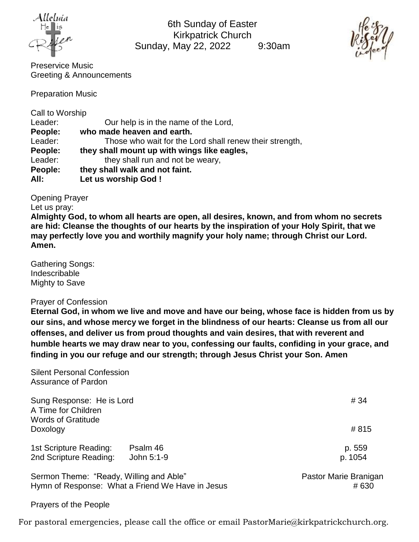

6th Sunday of Easter Kirkpatrick Church Sunday, May 22, 2022 9:30am



Preservice Music Greeting & Announcements

Preparation Music

Call to Worship

| Leader: | Our help is in the name of the Lord,                    |
|---------|---------------------------------------------------------|
| People: | who made heaven and earth.                              |
| Leader: | Those who wait for the Lord shall renew their strength, |
| People: | they shall mount up with wings like eagles,             |
| Leader: | they shall run and not be weary,                        |
| People: | they shall walk and not faint.                          |
| All:    | Let us worship God !                                    |

Opening Prayer

Let us pray:

**Almighty God, to whom all hearts are open, all desires, known, and from whom no secrets are hid: Cleanse the thoughts of our hearts by the inspiration of your Holy Spirit, that we may perfectly love you and worthily magnify your holy name; through Christ our Lord. Amen.**

Gathering Songs: Indescribable Mighty to Save

Prayer of Confession

**Eternal God, in whom we live and move and have our being, whose face is hidden from us by our sins, and whose mercy we forget in the blindness of our hearts: Cleanse us from all our offenses, and deliver us from proud thoughts and vain desires, that with reverent and humble hearts we may draw near to you, confessing our faults, confiding in your grace, and finding in you our refuge and our strength; through Jesus Christ your Son. Amen**

Silent Personal Confession Assurance of Pardon Sung Response: He is Lord  $\# 34$ A Time for Children Words of Gratitude Doxology # 815 1st Scripture Reading: Psalm 46 p. 559 2nd Scripture Reading: John 5:1-9 p. 1054 Sermon Theme: "Ready, Willing and Able" example and the example of Pastor Marie Branigan Hymn of Response: What a Friend We Have in Jesus **Access 1980 # 630** 

Prayers of the People

For pastoral emergencies, please call the office or email PastorMarie@kirkpatrickchurch.org.